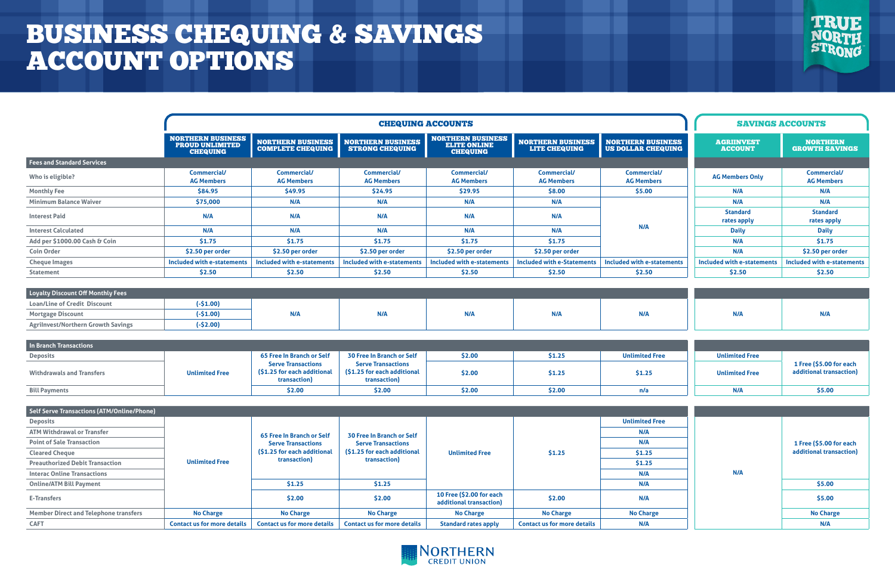|                                   | <b>CHEQUING ACCOUNTS</b>                                              |                                                      |                                                    |                                                                    |                                                  |                                                       |                                     | <b>SAVINGS ACCOUNTS</b>                  |
|-----------------------------------|-----------------------------------------------------------------------|------------------------------------------------------|----------------------------------------------------|--------------------------------------------------------------------|--------------------------------------------------|-------------------------------------------------------|-------------------------------------|------------------------------------------|
|                                   | <b>NORTHERN BUSINESS</b><br><b>PROUD UNLIMITED</b><br><b>CHEQUING</b> | <b>NORTHERN BUSINESS</b><br><b>COMPLETE CHEQUING</b> | <b>NORTHERN BUSINESS</b><br><b>STRONG CHEQUING</b> | <b>NORTHERN BUSINESS</b><br><b>ELITE ONLINE</b><br><b>CHEQUING</b> | <b>NORTHERN BUSINESS</b><br><b>LITE CHEQUING</b> | <b>NORTHERN BUSINESS</b><br><b>US DOLLAR CHEQUING</b> | <b>AGRIINVEST</b><br><b>ACCOUNT</b> | <b>NORTHERN</b><br><b>GROWTH SAVINGS</b> |
| <b>Fees and Standard Services</b> |                                                                       |                                                      |                                                    |                                                                    |                                                  |                                                       |                                     |                                          |
| Who is eligible?                  | <b>Commercial/</b><br><b>AG Members</b>                               | <b>Commercial/</b><br><b>AG Members</b>              | <b>Commercial/</b><br><b>AG Members</b>            | <b>Commercial/</b><br><b>AG Members</b>                            | <b>Commercial/</b><br><b>AG Members</b>          | <b>Commercial/</b><br><b>AG Members</b>               | <b>AG Members Only</b>              | <b>Commercial/</b><br><b>AG Members</b>  |
| <b>Monthly Fee</b>                | \$84.95                                                               | \$49.95                                              | \$24.95                                            | \$29.95                                                            | \$8.00                                           | \$5.00                                                | N/A                                 | N/A                                      |
| <b>Minimum Balance Waiver</b>     | \$75,000                                                              | N/A                                                  | N/A                                                | N/A                                                                | N/A                                              | N/A                                                   | N/A                                 | N/A                                      |
| <b>Interest Paid</b>              | N/A                                                                   | N/A                                                  | N/A                                                | N/A                                                                | N/A                                              |                                                       | <b>Standard</b><br>rates apply      | <b>Standard</b><br>rates apply           |
| <b>Interest Calculated</b>        | N/A                                                                   | N/A                                                  | N/A                                                | N/A                                                                | N/A                                              |                                                       | <b>Daily</b>                        | <b>Daily</b>                             |
| Add per \$1000.00 Cash & Coin     | 51.75                                                                 | 51.75                                                | 51.75                                              | 51.75                                                              | \$1.75                                           |                                                       | N/A                                 | \$1.75                                   |
| <b>Coin Order</b>                 | \$2.50 per order                                                      | \$2.50 per order                                     | \$2.50 per order                                   | \$2.50 per order                                                   | \$2.50 per order                                 |                                                       | N/A                                 | \$2.50 per order                         |
| <b>Cheque Images</b>              | Included with e-statements                                            | Included with e-statements                           | Included with e-statements                         | Included with e-statements                                         | <b>Included with e-Statements</b>                | Included with e-statements                            | Included with e-statements          | Included with e-statements               |
| <b>Statement</b>                  | \$2.50                                                                | \$2.50                                               | \$2.50                                             | \$2.50                                                             | \$2.50                                           | 52.50                                                 | \$2.50                              | \$2.50                                   |

|                                              |                                     | <b>SAVINGS ACCOUNTS</b>                  |  |  |  |
|----------------------------------------------|-------------------------------------|------------------------------------------|--|--|--|
| <u>HERN BUSINESS</u><br><b>LLAR CHEQUING</b> | <b>AGRIINVEST</b><br><b>ACCOUNT</b> | <b>NORTHERN</b><br><b>GROWTH SAVINGS</b> |  |  |  |
|                                              |                                     |                                          |  |  |  |
| Commercial/<br><b>AG Members</b>             | <b>AG Members Only</b>              | <b>Commercial/</b><br><b>AG Members</b>  |  |  |  |
| \$5.00                                       | N/A                                 | N/A                                      |  |  |  |
|                                              | N/A                                 | N/A                                      |  |  |  |
|                                              | <b>Standard</b><br>rates apply      | <b>Standard</b><br>rates apply           |  |  |  |
| N/A                                          | <b>Daily</b>                        | <b>Daily</b>                             |  |  |  |
|                                              | N/A                                 | \$1.75                                   |  |  |  |
|                                              | N/A                                 | \$2.50 per order                         |  |  |  |
| d with e-statements                          | Included with e-statements          | <b>Included with e-statements</b>        |  |  |  |
| \$2.50                                       | \$2.50                              | \$2.50                                   |  |  |  |
|                                              |                                     |                                          |  |  |  |
|                                              |                                     |                                          |  |  |  |
| N/A                                          | N/A                                 | N/A                                      |  |  |  |
|                                              |                                     |                                          |  |  |  |
|                                              |                                     |                                          |  |  |  |
| <b>Inlimited Free</b>                        | <b>Unlimited Free</b>               | 1 Free (\$5.00 for each                  |  |  |  |
| \$1.25                                       | <b>Unlimited Free</b>               | additional transaction)                  |  |  |  |
| n/a                                          | N/A                                 | \$5.00                                   |  |  |  |
|                                              |                                     |                                          |  |  |  |
|                                              |                                     |                                          |  |  |  |
| <b>Inlimited Free</b>                        |                                     |                                          |  |  |  |
| N/A                                          |                                     |                                          |  |  |  |
| N/A                                          |                                     | 1 Free (\$5.00 for each                  |  |  |  |
| \$1.25                                       |                                     | additional transaction)                  |  |  |  |
| \$1.25                                       |                                     |                                          |  |  |  |
| N/A                                          | N/A                                 |                                          |  |  |  |
| N/A                                          |                                     | \$5.00                                   |  |  |  |
| N/A                                          |                                     | \$5.00                                   |  |  |  |
| <b>No Charge</b>                             |                                     | <b>No Charge</b>                         |  |  |  |
| N/A                                          |                                     | N/A                                      |  |  |  |

TRUE

STRONG

| Loyalty Discount Off Monthly Fees         |            |     |     |     |     |     |     |     |
|-------------------------------------------|------------|-----|-----|-----|-----|-----|-----|-----|
| <b>Loan/Line of Credit Discount</b>       | $(-$1.00)$ |     |     |     |     |     |     |     |
| <b>Mortgage Discount</b>                  | (-\$1.00)  | N/A | N/A | N/A | N/A | N/A | N/A | N/A |
| <b>Agrilnvest/Northern Growth Savings</b> | $(-$2.00)$ |     |     |     |     |     |     |     |

| In Branch Transactions           |                       |                                                                                                       |                                                                                                       |        |        |                       |                       |                                                    |
|----------------------------------|-----------------------|-------------------------------------------------------------------------------------------------------|-------------------------------------------------------------------------------------------------------|--------|--------|-----------------------|-----------------------|----------------------------------------------------|
| <b>Deposits</b>                  |                       | 65 Free In Branch or Self<br><b>Serve Transactions</b><br>(\$1.25 for each additional<br>transaction) | 30 Free In Branch or Self<br><b>Serve Transactions</b><br>(\$1.25 for each additional<br>transaction) | \$2.00 | \$1.25 | <b>Unlimited Free</b> | <b>Unlimited Free</b> | 1 Free (\$5.00 for each<br>additional transaction) |
| <b>Withdrawals and Transfers</b> | <b>Unlimited Free</b> |                                                                                                       |                                                                                                       | \$2.00 | \$1.25 | \$1.25                | <b>Unlimited Free</b> |                                                    |
| <b>Bill Payments</b>             |                       | \$2.00                                                                                                | \$2.00                                                                                                | \$2.00 | \$2.00 |                       | N/A                   | \$5.00                                             |

| Self Serve Transactions (ATM/Online/Phone)   |                                    |                                                                                                       |                                                                                                       |                                                     |                                    |                       |     |                                        |
|----------------------------------------------|------------------------------------|-------------------------------------------------------------------------------------------------------|-------------------------------------------------------------------------------------------------------|-----------------------------------------------------|------------------------------------|-----------------------|-----|----------------------------------------|
| <b>Deposits</b>                              |                                    | 65 Free In Branch or Self<br><b>Serve Transactions</b><br>(\$1.25 for each additional<br>transaction) | 30 Free In Branch or Self<br><b>Serve Transactions</b><br>(\$1.25 for each additional<br>transaction) | <b>Unlimited Free</b>                               | \$1.25                             | <b>Unlimited Free</b> |     |                                        |
| <b>ATM Withdrawal or Transfer</b>            |                                    |                                                                                                       |                                                                                                       |                                                     |                                    | N/A                   | N/A |                                        |
| <b>Point of Sale Transaction</b>             |                                    |                                                                                                       |                                                                                                       |                                                     |                                    | N/A                   |     | 1 Free (\$5.00 fo<br>additional transa |
| <b>Cleared Cheque</b>                        |                                    |                                                                                                       |                                                                                                       |                                                     |                                    | \$1.25                |     |                                        |
| <b>Preauthorized Debit Transaction</b>       | <b>Unlimited Free</b>              |                                                                                                       |                                                                                                       |                                                     |                                    | \$1.25                |     |                                        |
| <b>Interac Online Transactions</b>           |                                    |                                                                                                       |                                                                                                       |                                                     |                                    | N/A                   |     |                                        |
| <b>Online/ATM Bill Payment</b>               |                                    | \$1.25                                                                                                | \$1.25                                                                                                |                                                     |                                    | N/A                   |     | \$5.00                                 |
| <b>E-Transfers</b>                           |                                    | \$2.00                                                                                                | \$2.00                                                                                                | 10 Free (\$2.00 for each<br>additional transaction) | \$2.00                             | N/A                   |     | \$5.00                                 |
| <b>Member Direct and Telephone transfers</b> | <b>No Charge</b>                   | <b>No Charge</b>                                                                                      | <b>No Charge</b>                                                                                      | <b>No Charge</b>                                    | <b>No Charge</b>                   | <b>No Charge</b>      |     | <b>No Charge</b>                       |
| <b>CAFT</b>                                  | <b>Contact us for more details</b> | <b>Contact us for more details</b>                                                                    | <b>Contact us for more details</b>                                                                    | <b>Standard rates apply</b>                         | <b>Contact us for more details</b> | N/A                   |     | N/A                                    |



## BUSINESS CHEQUING & SAVINGS ACCOUNT OPTIONS